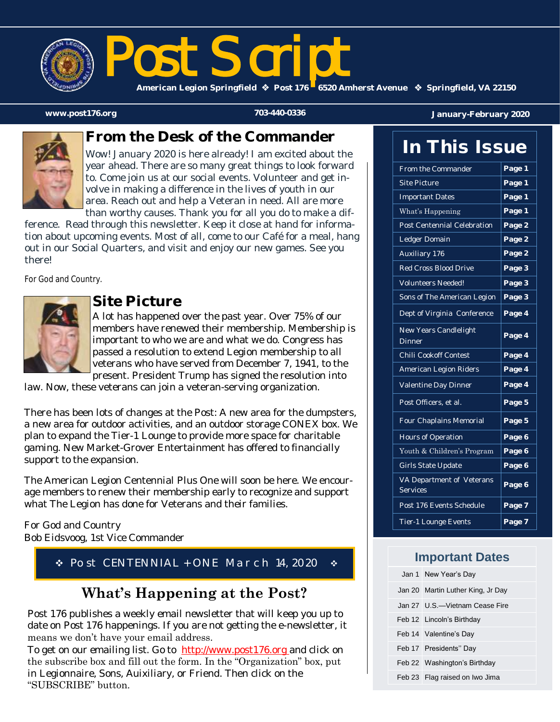

# Post Script **American Legion Springfield Post 176 6520 Amherst Avenue Springfield, VA 22150**

**www.post176.org 703-440-0336 January-February 2020**



#### **From the Desk of the Commander**

Wow! January 2020 is here already! I am excited about the year ahead. There are so many great things to look forward to. Come join us at our social events. Volunteer and get involve in making a difference in the lives of youth in our area. Reach out and help a Veteran in need. All are more than worthy causes. Thank you for all you do to make a dif-

ference. Read through this newsletter. Keep it close at hand for information about upcoming events. Most of all, come to our Café for a meal, hang out in our Social Quarters, and visit and enjoy our new games. See you there!

For God and Country.



#### **Site Picture**

A lot has happened over the past year. Over 75% of our members have renewed their membership. Membership is important to who we are and what we do. Congress has passed a resolution to extend Legion membership to all veterans who have served from December 7, 1941, to the present. President Trump has signed the resolution into

law. Now, these veterans can join a veteran-serving organization.

There has been lots of changes at the Post: A new area for the dumpsters, a new area for outdoor activities, and an outdoor storage CONEX box. We plan to expand the Tier-1 Lounge to provide more space for charitable gaming. New Market-Grover Entertainment has offered to financially support to the expansion.

The American Legion Centennial Plus One will soon be here. We encourage members to renew their membership early to recognize and support what The Legion has done for Veterans and their families.

For God and Country Bob Eidsvoog, 1st Vice Commander

#### $\div$  Post CENTENNIAL + ONE March 14, 2020  $\div$

### **What's Happening at the Post?**

Post 176 publishes a weekly email newsletter that will keep you up to date on Post 176 happenings. If you are not getting the e-newsletter, it means we don't have your email address.

To get on our emailing list. Go to http://www.post176.org and click on the subscribe box and fill out the form. In the "Organization" box, put in Legionnaire, Sons, Auixiliary, or Friend. Then click on the "SUBSCRIBE" button.

In This Issue

| Page 1 |
|--------|
| Page 1 |
| Page 1 |
| Page 1 |
| Page 2 |
| Page 2 |
| Page 2 |
| Page 3 |
| Page 3 |
| Page 3 |
| Page 4 |
| Page 4 |
| Page 4 |
| Page 4 |
| Page 4 |
| Page 5 |
| Page 5 |
| Page 6 |
| Page 6 |
| Page 6 |
| Page 6 |
| Page 7 |
| Page 7 |
|        |

#### **Important Dates**

|                                | Jan 1 New Year's Day              |  |
|--------------------------------|-----------------------------------|--|
|                                | Jan 20 Martin Luther King, Jr Day |  |
| Jan 27 U.S.-Vietnam Cease Fire |                                   |  |
|                                | Feb 12 Lincoln's Birthday         |  |
|                                | Feb 14 Valentine's Day            |  |
|                                | Feb 17 Presidents" Day            |  |
|                                | Feb 22 Washington's Birthday      |  |
|                                | Feb 23 Flag raised on Iwo Jima    |  |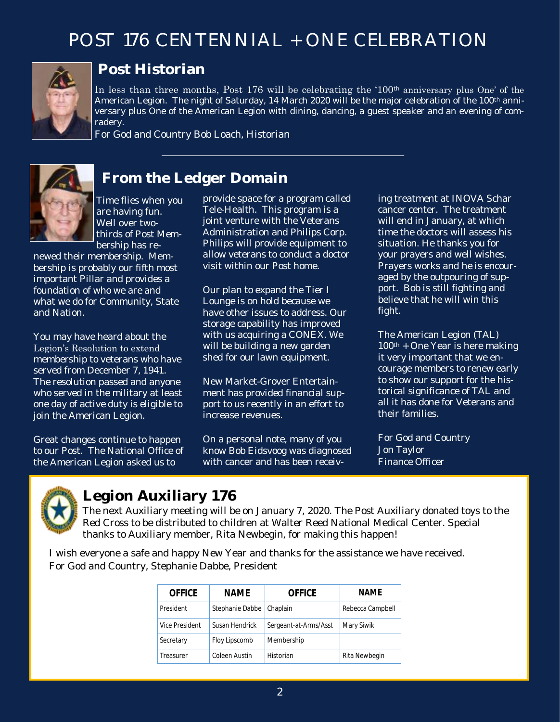# POST 176 CENTENNIAL + ONE CELEBRATION



#### **Post Historian**

In less than three months, Post 176 will be celebrating the ' $100<sup>th</sup>$  anniversary plus One' of the American Legion. The night of Saturday, 14 March 2020 will be the major celebration of the 100th anniversary plus One of the American Legion with dining, dancing, a guest speaker and an evening of comradery.

For God and Country Bob Loach, Historian



### **From the Ledger Domain**

Time flies when you are having fun. Well over twothirds of Post Membership has re-

newed their membership. Membership is probably our fifth most important Pillar and provides a foundation of who we are and what we do for Community, State and Nation.

You may have heard about the Legion's Resolution to extend membership to veterans who have served from December 7, 1941. The resolution passed and anyone who served in the military at least one day of active duty is eligible to join the American Legion.

Great changes continue to happen to our Post. The National Office of the American Legion asked us to

provide space for a program called Tele-Health. This program is a joint venture with the Veterans Administration and Philips Corp. Philips will provide equipment to allow veterans to conduct a doctor visit within our Post home.

Our plan to expand the Tier I Lounge is on hold because we have other issues to address. Our storage capability has improved with us acquiring a CONEX. We will be building a new garden shed for our lawn equipment.

New Market-Grover Entertainment has provided financial support to us recently in an effort to increase revenues.

On a personal note, many of you know Bob Eidsvoog was diagnosed with cancer and has been receiving treatment at INOVA Schar cancer center. The treatment will end in January, at which time the doctors will assess his situation. He thanks you for your prayers and well wishes. Prayers works and he is encouraged by the outpouring of support. Bob is still fighting and believe that he will win this fight.

The American Legion (TAL) 100th + One Year is here making it very important that we encourage members to renew early to show our support for the historical significance of TAL and all it has done for Veterans and their families.

For God and Country Jon Taylor Finance Officer



### **Legion Auxiliary 176**

The next Auxiliary meeting will be on January 7, 2020. The Post Auxiliary donated toys to the Red Cross to be distributed to children at Walter Reed National Medical Center. Special thanks to Auxiliary member, Rita Newbegin, for making this happen!

I wish everyone a safe and happy New Year and thanks for the assistance we have received. For God and Country, Stephanie Dabbe, President

| <b>OFFICE</b>  | NAMF.           | <b>OFFICE</b>         | NAMF             |
|----------------|-----------------|-----------------------|------------------|
| President      | Stephanie Dabbe | Chaplain              | Rebecca Campbell |
| Vice President | Susan Hendrick  | Sergeant-at-Arms/Asst | Mary Siwik       |
| Secretary      | Floy Lipscomb   | Membership            |                  |
| Treasurer      | Coleen Austin   | Historian             | Rita Newbegin    |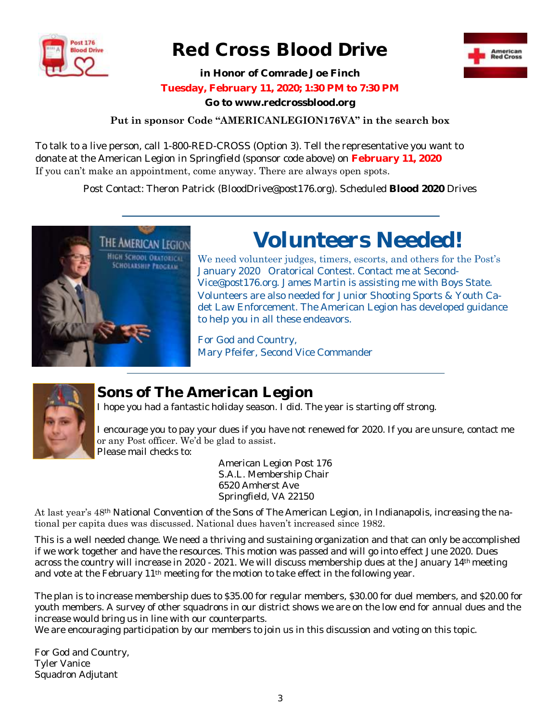

## Red Cross Blood Drive



**in Honor of Comrade Joe Finch Tuesday, February 11, 2020; 1:30 PM to 7:30 PM Go to [www.redcrossblood.org](http://www.redcrossblood.org)**

#### **Put in sponsor Code "AMERICANLEGION176VA" in the search box**

To talk to a live person, call 1-800-RED-CROSS (Option 3). Tell the representative you want to donate at the American Legion in Springfield (sponsor code above) on **February 11, 2020** If you can't make an appointment, come anyway. There are always open spots.

Post Contact: Theron Patrick (BloodDrive@post176.org). Scheduled **Blood 2020** Drives



# Volunteers Needed!

We need volunteer judges, timers, escorts, and others for the Post's January 2020 Oratorical Contest. Contact me at Second-Vice@post176.org. James Martin is assisting me with Boys State. Volunteers are also needed for Junior Shooting Sports & Youth Cadet Law Enforcement. The American Legion has developed guidance to help you in all these endeavors.

For God and Country, Mary Pfeifer, Second Vice Commander



### **Sons of The American Legion**

I hope you had a fantastic holiday season. I did. The year is starting off strong.

I encourage you to pay your dues if you have not renewed for 2020. If you are unsure, contact me or any Post officer. We'd be glad to assist. Please mail checks to:

> American Legion Post 176 S.A.L. Membership Chair 6520 Amherst Ave Springfield, VA 22150

At last year's 48<sup>th</sup> National Convention of the Sons of The American Legion, in Indianapolis, increasing the national per capita dues was discussed. National dues haven't increased since 1982.

This is a well needed change. We need a thriving and sustaining organization and that can only be accomplished if we work together and have the resources. This motion was passed and will go into effect June 2020. Dues across the country will increase in 2020 - 2021. We will discuss membership dues at the January 14th meeting and vote at the February 11<sup>th</sup> meeting for the motion to take effect in the following year.

The plan is to increase membership dues to \$35.00 for regular members, \$30.00 for duel members, and \$20.00 for youth members. A survey of other squadrons in our district shows we are on the low end for annual dues and the increase would bring us in line with our counterparts.

We are encouraging participation by our members to join us in this discussion and voting on this topic.

For God and Country, Tyler Vanice Squadron Adjutant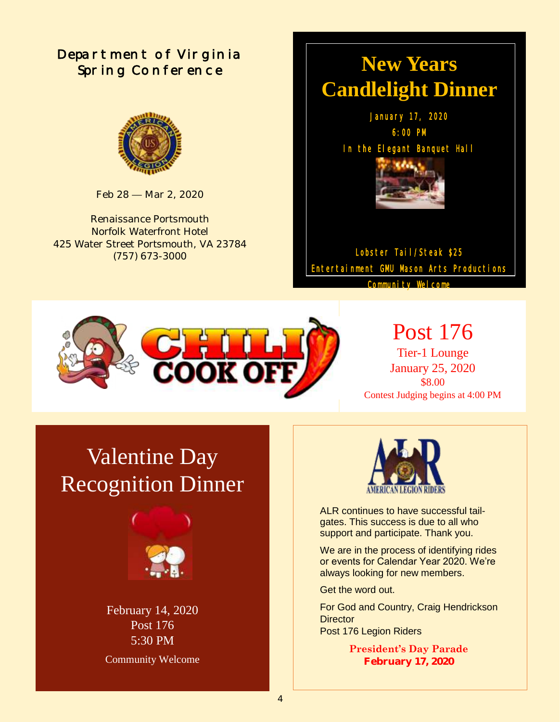### Department of Virginia Spring Conference



Feb 28 — Mar 2, 2020

Renaissance Portsmouth Norfolk Waterfront Hotel 425 Water Street Portsmouth, VA 23784 (757) 673-3000

# **New Years Candlelight Dinner**

January 17, 2020 6:00 PM In the Elegant Banquet Hall



Lobster Tail/Steak \$25 Entertainment GMU Mason Arts Productions Community Welcome



Post 176

Tier-1 Lounge January 25, 2020 \$8.00 Contest Judging begins at 4:00 PM

# Valentine Day Recognition Dinner



February 14, 2020 Post 176 5:30 PM Community Welcome



ALR continues to have successful tailgates. This success is due to all who support and participate. Thank you.

We are in the process of identifying rides or events for Calendar Year 2020. We're always looking for new members.

Get the word out.

For God and Country, Craig Hendrickson **Director** Post 176 Legion Riders

> 4**President's Day Parade February 17, 2020**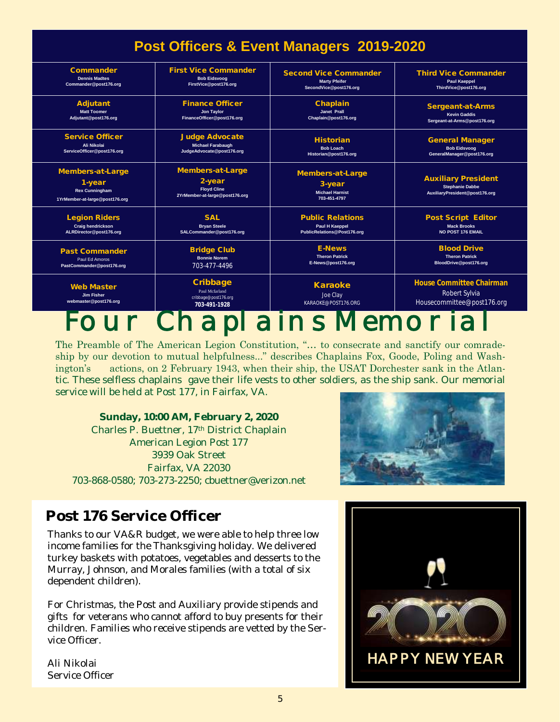### **Post Officers & Event Managers 2019-2020**

| Commander                                                                             | <b>First Vice Commander</b>                                                        | Second Vice Commander                                                | <b>Third Vice Commander</b>                                                            |
|---------------------------------------------------------------------------------------|------------------------------------------------------------------------------------|----------------------------------------------------------------------|----------------------------------------------------------------------------------------|
| <b>Dennis Madtes</b>                                                                  | <b>Bob Eidsvoog</b>                                                                | <b>Marty Pfeifer</b>                                                 | <b>Paul Kaeppel</b>                                                                    |
| Commander@post176.org                                                                 | FirstVice@post176.org                                                              | SecondVice@post176.org                                               | ThirdVice@post176.org                                                                  |
| Adjutant                                                                              | <b>Finance Officer</b>                                                             | Chaplain                                                             | Sergeant-at-Arms                                                                       |
| <b>Matt Toomer</b>                                                                    | Jon Taylor                                                                         | <b>Janet Prall</b>                                                   | <b>Kevin Gaddis</b>                                                                    |
| Adjutant@post176.org                                                                  | FinanceOfficer@post176.org                                                         | Chaplain@post176.org                                                 | Sergeant-at-Arms@post176.org                                                           |
| Service Officer                                                                       | Judge Advocate                                                                     | <b>Historian</b>                                                     | <b>General Manager</b>                                                                 |
| Ali Nikolai                                                                           | <b>Michael Farabaugh</b>                                                           | <b>Bob Loach</b>                                                     | <b>Bob Eidsvoog</b>                                                                    |
| ServiceOfficer@post176.org                                                            | JudgeAdvocate@post176.org                                                          | Historian@post176.org                                                | GeneralManager@post176.org                                                             |
| Members-at-Large<br>1-year<br><b>Rex Cunningham</b><br>1YrMember-at-large@post176.org | Members-at-Large<br>2-year<br><b>Floyd Cline</b><br>2YrMember-at-large@post176.org | Members-at-Large<br>3-year<br><b>Michael Harnist</b><br>703-451-4797 | <b>Auxiliary President</b><br><b>Stephanie Dabbe</b><br>AuxiliaryPresident@post176.org |
| <b>Legion Riders</b>                                                                  | <b>SAI</b>                                                                         | <b>Public Relations</b>                                              | Post Script Editor                                                                     |
| Craig hendrickson                                                                     | <b>Bryan Steele</b>                                                                | <b>Paul H Kaeppel</b>                                                | <b>Mack Brooks</b>                                                                     |
| ALRDirector@post176.org                                                               | SALCommander@post176.org                                                           | PublicRelations@Post176.org                                          | <b>NO POST 176 EMAIL</b>                                                               |
| Past Commander                                                                        | <b>Bridge Club</b>                                                                 | <b>F-News</b>                                                        | <b>Blood Drive</b>                                                                     |
| Paul Ed Amoros                                                                        | <b>Bonnie Norem</b>                                                                | <b>Theron Patrick</b>                                                | <b>Theron Patrick</b>                                                                  |
| PastCommander@post176.org                                                             | 703-477-4496                                                                       | E-News@post176.org                                                   | BloodDrive@post176.org                                                                 |
| <b>Web Master</b><br><b>Jim Fisher</b><br>webmaster@post176.org                       | Cribbage<br>Paul Mcfarland<br>cribbage@post176.org<br>703-491-1928                 | Karaoke<br>Joe Clay<br>KARAOKE@POST176.ORG                           | House Committee Chairman<br>Robert Sylvia<br>Housecommittee@post176.org                |

# Four Chaplains Memorial

The Preamble of The American Legion Constitution, "… to consecrate and sanctify our comradeship by our devotion to mutual helpfulness..." describes Chaplains Fox, Goode, Poling and Washington's actions, on 2 February 1943, when their ship, the USAT Dorchester sank in the Atlantic. These selfless chaplains gave their life vests to other soldiers, as the ship sank. Our memorial service will be held at Post 177, in Fairfax, VA.

**Sunday, 10:00 AM, February 2, 2020** Charles P. Buettner, 17th District Chaplain American Legion Post 177 3939 Oak Street Fairfax, VA 22030 703-868-0580; 703-273-2250; cbuettner@verizon.net



Post 176 Service Officer<br>Thanks to our VA&R budget, we were able to help there income families for the Thanksgiving holiday. We defurkey baskets with potatoes, vegetables and desser<br>Murray, Johnson, and Morales families (w Thanks to our VA&R budget, we were able to help three low income families for the Thanksgiving holiday. We delivered turkey baskets with potatoes, vegetables and desserts to the Murray, Johnson, and Morales families (with a total of six dependent children).

For Christmas, the Post and Auxiliary provide stipends and gifts for veterans who cannot afford to buy presents for their children. Families who receive stipends are vetted by the Service Officer.

Ali Nikolai Service Officer

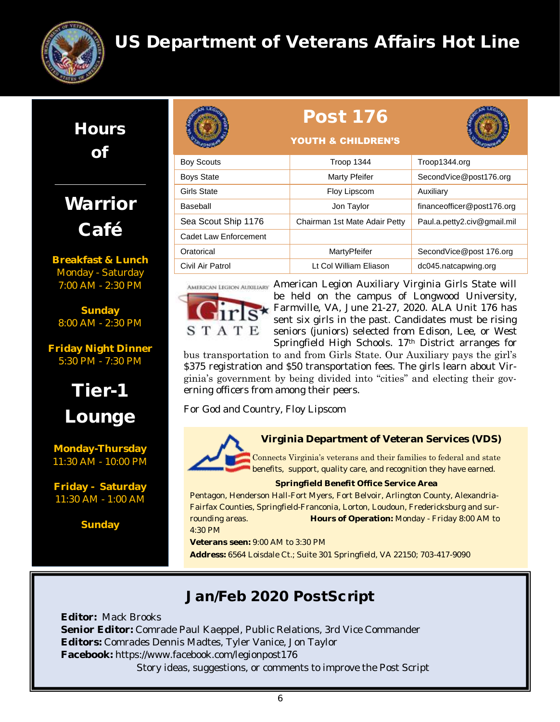

# US Department of Veterans Affairs Hot Line

**Hours** of

**Warrior** Café

**Breakfast & Lunch** Monday - Saturday 7:00 AM - 2:30 PM

**Sunday**  8:00 AM - 2:30 PM

**Friday Night Dinner**  5:30 PM - 7:30 PM

> Tier-1 Lounge

**Monday-Thursday**  11:30 AM - 10:00 PM

**Friday - Saturday**  11:30 AM - 1:00 AM

**Sunday** 

|                       | Post 176<br><b>YOUTH &amp; CHILDREN'S</b> |                             |
|-----------------------|-------------------------------------------|-----------------------------|
| <b>Boy Scouts</b>     | Troop 1344                                | Troop1344.org               |
| <b>Boys State</b>     | <b>Marty Pfeifer</b>                      | SecondVice@post176.org      |
| Girls State           | Floy Lipscom                              | Auxiliary                   |
| Baseball              | Jon Taylor                                | financeofficer@post176.org  |
| Sea Scout Ship 1176   | Chairman 1st Mate Adair Petty             | Paul.a.petty2.civ@gmail.mil |
| Cadet Law Enforcement |                                           |                             |
| Oratorical            | MartyPfeifer                              | SecondVice@post 176.org     |
| Civil Air Patrol      | Lt Col William Eliason                    | dc045.natcapwing.org        |



AMERICAN LEGION AUXILIARY American Legion Auxiliary Virginia Girls State will be held on the campus of Longwood University, Farmville, VA, June 21-27, 2020. ALA Unit 176 has sent six girls in the past. Candidates must be rising seniors (juniors) selected from Edison, Lee, or West Springfield High Schools. 17<sup>th</sup> District arranges for

bus transportation to and from Girls State. Our Auxiliary pays the girl's \$375 registration and \$50 transportation fees. The girls learn about Virginia's government by being divided into "cities" and electing their governing officers from among their peers.

For God and Country, Floy Lipscom



**Virginia Department of Veteran Services (VDS)** 

Connects Virginia's veterans and their families to federal and state benefits, support, quality care, and recognition they have earned.

**Springfield Benefit Office Service Area**

Pentagon, Henderson Hall-Fort Myers, Fort Belvoir, Arlington County, Alexandria-Fairfax Counties, Springfield-Franconia, Lorton, Loudoun, Fredericksburg and surrounding areas. **Hours of Operation:** Monday - Friday 8:00 AM to 4:30 PM

**Veterans seen:** 9:00 AM to 3:30 PM **Address:** 6564 Loisdale Ct.; Suite 301 Springfield, VA 22150; 703-417-9090

### Jan/Feb 2020 PostScript

**Editor:** Mack Brooks **Senior Editor:** Comrade Paul Kaeppel, Public Relations, 3rd Vice Commander **Editors:** Comrades Dennis Madtes, Tyler Vanice, Jon Taylor **Facebook:** https://www.facebook.com/legionpost176 Story ideas, suggestions, or comments to improve the Post Script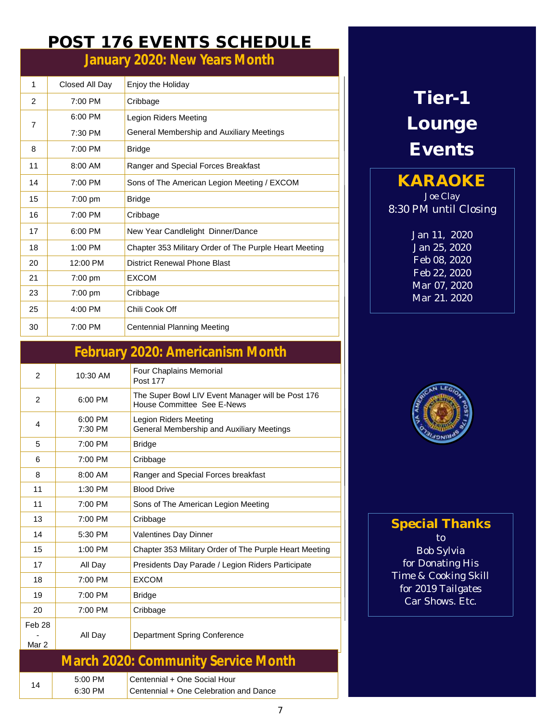### POST 176 EVENTS SCHEDULE

### **January 2020: New Years Month**

| 1              | Closed All Day | Enjoy the Holiday                                      |
|----------------|----------------|--------------------------------------------------------|
| $\mathfrak{p}$ | 7:00 PM        | Cribbage                                               |
| 7              | 6:00 PM        | Legion Riders Meeting                                  |
|                | 7:30 PM        | General Membership and Auxiliary Meetings              |
| 8              | 7:00 PM        | <b>Bridge</b>                                          |
| 11             | 8:00 AM        | Ranger and Special Forces Breakfast                    |
| 14             | 7:00 PM        | Sons of The American Legion Meeting / EXCOM            |
| 15             | $7:00$ pm      | <b>Bridge</b>                                          |
| 16             | 7:00 PM        | Cribbage                                               |
| 17             | 6:00 PM        | New Year Candlelight Dinner/Dance                      |
| 18             | $1:00$ PM      | Chapter 353 Military Order of The Purple Heart Meeting |
| 20             | 12:00 PM       | District Renewal Phone Blast                           |
| 21             | $7:00$ pm      | <b>EXCOM</b>                                           |
| 23             | $7:00$ pm      | Cribbage                                               |
| 25             | 4:00 PM        | Chili Cook Off                                         |
| 30             | 7:00 PM        | <b>Centennial Planning Meeting</b>                     |

|                                     |                    | February 2020: Americanism Month                                                |
|-------------------------------------|--------------------|---------------------------------------------------------------------------------|
| $\overline{2}$                      | 10:30 AM           | Four Chaplains Memorial<br><b>Post 177</b>                                      |
| $\overline{2}$                      | 6:00 PM            | The Super Bowl LIV Event Manager will be Post 176<br>House Committee See E-News |
| 4                                   | 6:00 PM<br>7:30 PM | Legion Riders Meeting<br>General Membership and Auxiliary Meetings              |
| 5                                   | 7:00 PM            | <b>Bridge</b>                                                                   |
| 6                                   | 7:00 PM            | Cribbage                                                                        |
| 8                                   | 8:00 AM            | Ranger and Special Forces breakfast                                             |
| 11                                  | $1:30$ PM          | <b>Blood Drive</b>                                                              |
| 11                                  | 7:00 PM            | Sons of The American Legion Meeting                                             |
| 13                                  | 7:00 PM            | Cribbage                                                                        |
| 14                                  | 5:30 PM            | <b>Valentines Day Dinner</b>                                                    |
| 15                                  | $1:00$ PM          | Chapter 353 Military Order of The Purple Heart Meeting                          |
| 17                                  | All Day            | Presidents Day Parade / Legion Riders Participate                               |
| 18                                  | 7:00 PM            | <b>EXCOM</b>                                                                    |
| 19                                  | 7:00 PM            | <b>Bridge</b>                                                                   |
| 20                                  | 7:00 PM            | Cribbage                                                                        |
| Feb <sub>28</sub><br>Mar 2          | All Day            | Department Spring Conference                                                    |
| March 2020: Community Service Month |                    |                                                                                 |
|                                     | 5:00 PM            | Centennial + One Social Hour                                                    |

Centennial + One Celebration and Dance

14

6:30 PM

# Tier-1 Lounge Events

#### **KARAOKE** Joe Clay 8:30 PM until Closing

Jan 11, 2020 Jan 25, 2020 Feb 08, 2020 Feb 22, 2020 Mar 07, 2020 Mar 21. 2020



**Special Thanks**  to Bob Sylvia for Donating His Time & Cooking Skill for 2019 Tailgates Car Shows. Etc.